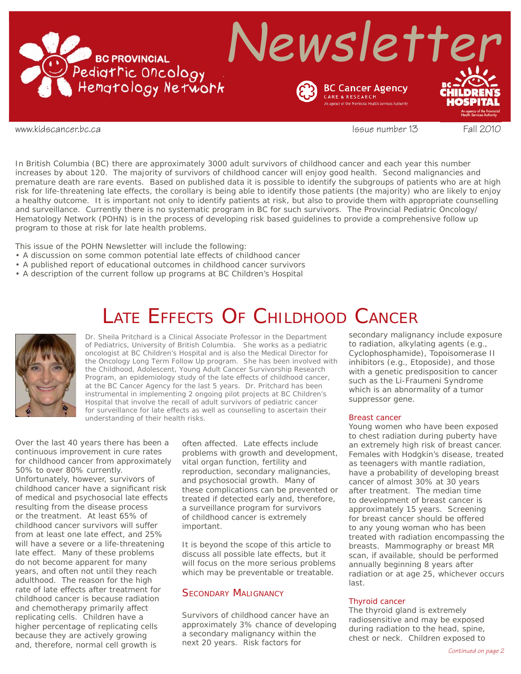

www.kidscancer.bc.ca issue number 13 Fall 2010

In British Columbia (BC) there are approximately 3000 adult survivors of childhood cancer and each year this number increases by about 120. The majority of survivors of childhood cancer will enjoy good health. Second malignancies and premature death are rare events. Based on published data it is possible to identify the subgroups of patients who are at high risk for life-threatening late effects, the corollary is being able to identify those patients (the majority) who are likely to enjoy a healthy outcome. It is important not only to identify patients at risk, but also to provide them with appropriate counselling and surveillance. Currently there is no systematic program in BC for such survivors. The Provincial Pediatric Oncology/ Hematology Network (POHN) is in the process of developing risk based guidelines to provide a comprehensive follow up program to those at risk for late health problems.

This issue of the POHN Newsletter will include the following:

- A discussion on some common potential late effects of childhood cancer
- A published report of educational outcomes in childhood cancer survivors
- A description of the current follow up programs at BC Children's Hospital

## LATE EFFECTS OF CHILDHOOD CANCER



*Dr. Sheila Pritchard is a Clinical Associate Professor in the Department of Pediatrics, University of British Columbia. She works as a pediatric oncologist at BC Children's Hospital and is also the Medical Director for the Oncology Long Term Follow Up program. She has been involved with the Childhood, Adolescent, Young Adult Cancer Survivorship Research Program, an epidemiology study of the late effects of childhood cancer, at the BC Cancer Agency for the last 5 years. Dr. Pritchard has been instrumental in implementing 2 ongoing pilot projects at BC Children's Hospital that involve the recall of adult survivors of pediatric cancer*  for surveillance for late effects as well as counselling to ascertain their *understanding of their health risks.*

Over the last 40 years there has been a continuous improvement in cure rates for childhood cancer from approximately 50% to over 80% currently. Unfortunately, however, survivors of childhood cancer have a significant risk of medical and psychosocial late effects resulting from the disease process or the treatment. At least 65% of childhood cancer survivors will suffer from at least one late effect, and 25% will have a severe or a life-threatening late effect. Many of these problems do not become apparent for many years, and often not until they reach adulthood. The reason for the high rate of late effects after treatment for childhood cancer is because radiation and chemotherapy primarily affect replicating cells. Children have a higher percentage of replicating cells because they are actively growing and, therefore, normal cell growth is

often affected. Late effects include problems with growth and development, vital organ function, fertility and reproduction, secondary malignancies, and psychosocial growth. Many of these complications can be prevented or treated if detected early and, therefore, a surveillance program for survivors of childhood cancer is extremely important.

It is beyond the scope of this article to discuss all possible late effects, but it will focus on the more serious problems which may be preventable or treatable.

### SECONDARY MALIGNANCY

Survivors of childhood cancer have an approximately 3% chance of developing a secondary malignancy within the next 20 years. Risk factors for

secondary malignancy include exposure to radiation, alkylating agents (e.g., Cyclophosphamide), Topoisomerase II inhibitors (e.g., Etoposide), and those with a genetic predisposition to cancer such as the Li-Fraumeni Syndrome which is an abnormality of a tumor suppressor gene.

#### Breast cancer

Young women who have been exposed to chest radiation during puberty have an extremely high risk of breast cancer. Females with Hodgkin's disease, treated as teenagers with mantle radiation, have a probability of developing breast cancer of almost 30% at 30 years after treatment. The median time to development of breast cancer is approximately 15 years. Screening for breast cancer should be offered to any young woman who has been treated with radiation encompassing the breasts. Mammography or breast MR scan, if available, should be performed annually beginning 8 years after radiation or at age 25, whichever occurs last.

#### Thyroid cancer

The thyroid gland is extremely radiosensitive and may be exposed during radiation to the head, spine, chest or neck. Children exposed to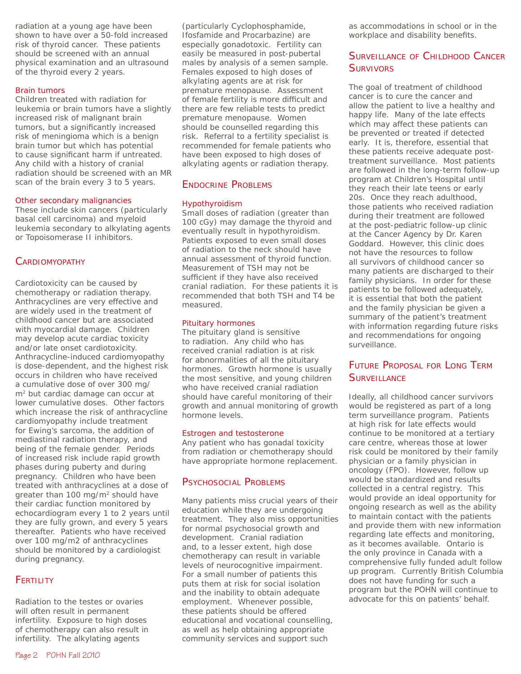radiation at a young age have been shown to have over a 50-fold increased risk of thyroid cancer. These patients should be screened with an annual physical examination and an ultrasound of the thyroid every 2 years.

#### Brain tumors

Children treated with radiation for leukemia or brain tumors have a slightly increased risk of malignant brain tumors, but a significantly increased risk of meningioma which is a benign brain tumor but which has potential to cause significant harm if untreated. Any child with a history of cranial radiation should be screened with an MR scan of the brain every 3 to 5 years.

#### Other secondary malignancies

These include skin cancers (particularly basal cell carcinoma) and myeloid leukemia secondary to alkylating agents or Topoisomerase II inhibitors.

## **CARDIOMYOPATHY**

Cardiotoxicity can be caused by chemotherapy or radiation therapy. Anthracyclines are very effective and are widely used in the treatment of childhood cancer but are associated with myocardial damage. Children may develop acute cardiac toxicity and/or late onset cardiotoxicity. Anthracycline-induced cardiomyopathy is dose-dependent, and the highest risk occurs in children who have received a cumulative dose of over 300 mg/ m<sup>2</sup> but cardiac damage can occur at lower cumulative doses. Other factors which increase the risk of anthracycline cardiomyopathy include treatment for Ewing's sarcoma, the addition of mediastinal radiation therapy, and being of the female gender. Periods of increased risk include rapid growth phases during puberty and during pregnancy. Children who have been treated with anthracyclines at a dose of greater than 100 mg/m<sup>2</sup> should have their cardiac function monitored by echocardiogram every 1 to 2 years until they are fully grown, and every 5 years thereafter. Patients who have received over 100 mg/m2 of anthracyclines should be monitored by a cardiologist during pregnancy.

## **FERTILITY**

Radiation to the testes or ovaries will often result in permanent infertility. Exposure to high doses of chemotherapy can also result in infertility. The alkylating agents

(particularly Cyclophosphamide, Ifosfamide and Procarbazine) are especially gonadotoxic. Fertility can easily be measured in post-pubertal males by analysis of a semen sample. Females exposed to high doses of alkylating agents are at risk for premature menopause. Assessment of female fertility is more difficult and there are few reliable tests to predict premature menopause. Women should be counselled regarding this risk. Referral to a fertility specialist is recommended for female patients who have been exposed to high doses of alkylating agents or radiation therapy.

## ENDOCRINE PROBLEMS

#### Hypothyroidism

Small doses of radiation (greater than 100 cGy) may damage the thyroid and eventually result in hypothyroidism. Patients exposed to even small doses of radiation to the neck should have annual assessment of thyroid function. Measurement of TSH may not be sufficient if they have also received cranial radiation. For these patients it is recommended that both TSH and T4 be measured.

#### Pituitary hormones

The pituitary gland is sensitive to radiation. Any child who has received cranial radiation is at risk for abnormalities of all the pituitary hormones. Growth hormone is usually the most sensitive, and young children who have received cranial radiation should have careful monitoring of their growth and annual monitoring of growth hormone levels.

#### Estrogen and testosterone

Any patient who has gonadal toxicity from radiation or chemotherapy should have appropriate hormone replacement.

## PSYCHOSOCIAL PROBLEMS

Many patients miss crucial years of their education while they are undergoing treatment. They also miss opportunities for normal psychosocial growth and development. Cranial radiation and, to a lesser extent, high dose chemotherapy can result in variable levels of neurocognitive impairment. For a small number of patients this puts them at risk for social isolation and the inability to obtain adequate employment. Whenever possible, these patients should be offered educational and vocational counselling, as well as help obtaining appropriate community services and support such

as accommodations in school or in the workplace and disability benefits.

## SURVEILLANCE OF CHILDHOOD CANCER **SURVIVORS**

The goal of treatment of childhood cancer is to cure the cancer and allow the patient to live a healthy and happy life. Many of the late effects which may affect these patients can be prevented or treated if detected early. It is, therefore, essential that these patients receive adequate posttreatment surveillance. Most patients are followed in the long-term follow-up program at Children's Hospital until they reach their late teens or early 20s. Once they reach adulthood, those patients who received radiation during their treatment are followed at the post-pediatric follow-up clinic at the Cancer Agency by Dr. Karen Goddard. However, this clinic does not have the resources to follow all survivors of childhood cancer so many patients are discharged to their family physicians. In order for these patients to be followed adequately, it is essential that both the patient and the family physician be given a summary of the patient's treatment with information regarding future risks and recommendations for ongoing surveillance.

## FUTURE PROPOSAL FOR LONG TERM **SURVEILLANCE**

Ideally, all childhood cancer survivors would be registered as part of a long term surveillance program. Patients at high risk for late effects would continue to be monitored at a tertiary care centre, whereas those at lower risk could be monitored by their family physician or a family physician in oncology (FPO). However, follow up would be standardized and results collected in a central registry. This would provide an ideal opportunity for ongoing research as well as the ability to maintain contact with the patients and provide them with new information regarding late effects and monitoring, as it becomes available. Ontario is the only province in Canada with a comprehensive fully funded adult follow up program. Currently British Columbia does not have funding for such a program but the POHN will continue to advocate for this on patients' behalf.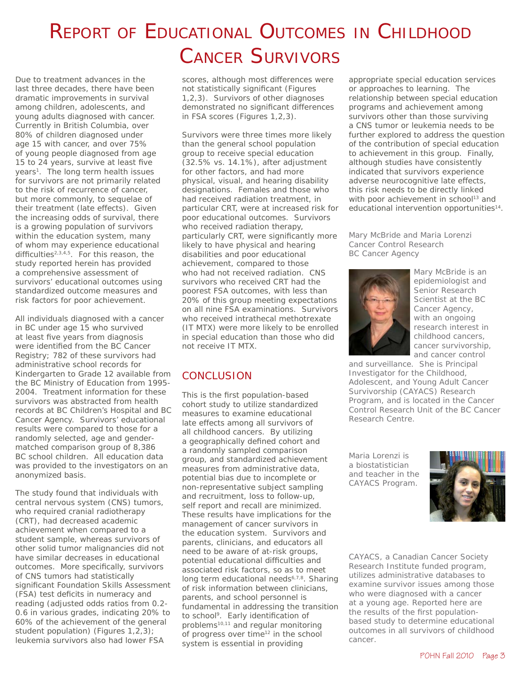# REPORT OF EDUCATIONAL OUTCOMES IN CHILDHOOD CANCER SURVIVORS

Due to treatment advances in the last three decades, there have been dramatic improvements in survival among children, adolescents, and young adults diagnosed with cancer. Currently in British Columbia, over 80% of children diagnosed under age 15 with cancer, and over 75% of young people diagnosed from age 15 to 24 years, survive at least five years<sup>1</sup>. The long term health issues for survivors are not primarily related to the risk of recurrence of cancer, but more commonly, to sequelae of their treatment (late effects). Given the increasing odds of survival, there is a growing population of survivors within the education system, many of whom may experience educational difficulties<sup>2,3,4,5</sup>. For this reason, the study reported herein has provided a comprehensive assessment of survivors' educational outcomes using standardized outcome measures and risk factors for poor achievement.

All individuals diagnosed with a cancer in BC under age 15 who survived at least five years from diagnosis were identified from the BC Cancer Registry; 782 of these survivors had administrative school records for Kindergarten to Grade 12 available from the BC Ministry of Education from 1995- 2004. Treatment information for these survivors was abstracted from health records at BC Children's Hospital and BC Cancer Agency. Survivors' educational results were compared to those for a randomly selected, age and gendermatched comparison group of 8,386 BC school children. All education data was provided to the investigators on an anonymized basis.

The study found that individuals with central nervous system (CNS) tumors, who required cranial radiotherapy (CRT), had decreased academic achievement when compared to a student sample, whereas survivors of other solid tumor malignancies did not have similar decreases in educational outcomes. More specifically, survivors of CNS tumors had statistically significant Foundation Skills Assessment (FSA) test deficits in numeracy and reading (adjusted odds ratios from 0.2- 0.6 in various grades, indicating 20% to 60% of the achievement of the general student population) (Figures 1,2,3); leukemia survivors also had lower FSA

scores, although most differences were

not statistically significant (Figures 1,2,3). Survivors of other diagnoses demonstrated no significant differences in FSA scores (Figures 1,2,3).

Survivors were three times more likely than the general school population group to receive special education (32.5% vs. 14.1%), after adjustment for other factors, and had more physical, visual, and hearing disability designations. Females and those who had received radiation treatment, in particular CRT, were at increased risk for poor educational outcomes. Survivors who received radiation therapy, particularly CRT, were significantly more likely to have physical and hearing disabilities and poor educational achievement, compared to those who had not received radiation. CNS survivors who received CRT had the poorest FSA outcomes, with less than 20% of this group meeting expectations on all nine FSA examinations. Survivors who received intrathecal methotrexate (IT MTX) were more likely to be enrolled in special education than those who did not receive IT MTX.

## **CONCLUSION**

This is the first population-based cohort study to utilize standardized measures to examine educational late effects among all survivors of all childhood cancers. By utilizing a geographically defined cohort and a randomly sampled comparison group, and standardized achievement measures from administrative data, potential bias due to incomplete or non-representative subject sampling and recruitment, loss to follow-up, self report and recall are minimized. These results have implications for the management of cancer survivors in the education system. Survivors and parents, clinicians, and educators all need to be aware of at-risk groups, potential educational difficulties and associated risk factors, so as to meet long term educational needs<sup>6,7,8</sup>. Sharing of risk information between clinicians, parents, and school personnel is fundamental in addressing the transition to school<sup>9</sup>. Early identification of problems<sup>10,11</sup> and regular monitoring of progress over time<sup>12</sup> in the school system is essential in providing

appropriate special education services or approaches to learning. The relationship between special education programs and achievement among survivors other than those surviving a CNS tumor or leukemia needs to be further explored to address the question of the contribution of special education to achievement in this group. Finally, although studies have consistently indicated that survivors experience adverse neurocognitive late effects, this risk needs to be directly linked with poor achievement in school<sup>13</sup> and educational intervention opportunities<sup>14</sup>.

*Mary McBride and Maria Lorenzi Cancer Control Research BC Cancer Agency*



*Mary McBride is an epidemiologist and Senior Research Scientist at the BC Cancer Agency, with an ongoing research interest in childhood cancers, cancer survivorship, and cancer control* 

*and surveillance. She is Principal Investigator for the Childhood, Adolescent, and Young Adult Cancer Survivorship (CAYACS) Research Program, and is located in the Cancer Control Research Unit of the BC Cancer Research Centre.*

*Maria Lorenzi is a biostatistician and teacher in the CAYACS Program.*



*CAYACS, a Canadian Cancer Society Research Institute funded program, utilizes administrative databases to examine survivor issues among those who were diagnosed with a cancer at a young age. Reported here are the results of the first populationbased study to determine educational outcomes in all survivors of childhood cancer.*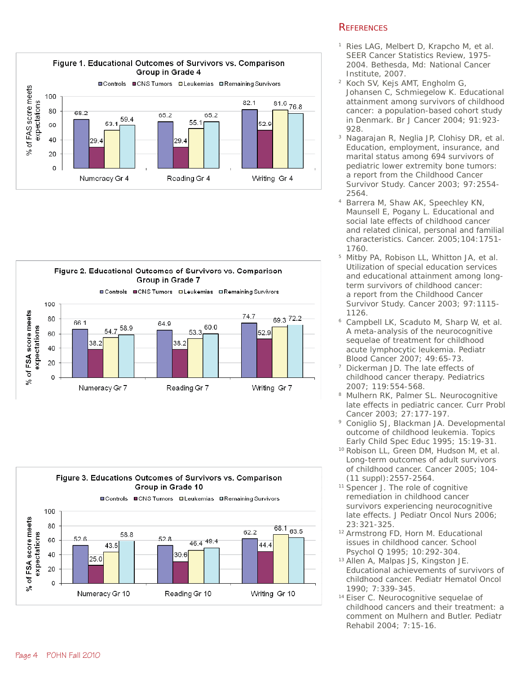

#### Figure 2. Educational Outcomes of Survivors vs. Comparison Group in Grade 7



### Figure 3. Educations Outcomes of Survivors vs. Comparison Group in Grade 10



## **REFERENCES**

- 1 Ries LAG, Melbert D, Krapcho M, et al. SEER Cancer Statistics Review, 1975- 2004. Bethesda, Md: National Cancer Institute, 2007.
- 2 Koch SV, Kejs AMT, Engholm G, Johansen C, Schmiegelow K. Educational attainment among survivors of childhood cancer: a population-based cohort study in Denmark. Br J Cancer 2004; 91:923- 928.
- Nagarajan R, Neglia JP, Clohisy DR, et al. Education, employment, insurance, and marital status among 694 survivors of pediatric lower extremity bone tumors: a report from the Childhood Cancer Survivor Study. Cancer 2003; 97:2554- 2564.
- 4 Barrera M, Shaw AK, Speechley KN, Maunsell E, Pogany L. Educational and social late effects of childhood cancer and related clinical, personal and familial characteristics. Cancer. 2005;104:1751- 1760.
- 5 Mitby PA, Robison LL, Whitton JA, et al. Utilization of special education services and educational attainment among longterm survivors of childhood cancer: a report from the Childhood Cancer Survivor Study. Cancer 2003; 97:1115- 1126.
- Campbell LK, Scaduto M, Sharp W, et al. A meta-analysis of the neurocognitive sequelae of treatment for childhood acute lymphocytic leukemia. Pediatr Blood Cancer 2007; 49:65-73.
- Dickerman JD. The late effects of childhood cancer therapy. Pediatrics 2007; 119:554-568.
- 8 Mulhern RK, Palmer SL. Neurocognitive late effects in pediatric cancer. Curr Probl Cancer 2003; 27:177-197.
- 9 Coniglio SJ, Blackman JA. Developmental outcome of childhood leukemia. Topics Early Child Spec Educ 1995; 15:19-31.
- 10 Robison LL, Green DM, Hudson M, et al. Long-term outcomes of adult survivors of childhood cancer. Cancer 2005; 104- (11 suppl):2557-2564.
- <sup>11</sup> Spencer J. The role of cognitive remediation in childhood cancer survivors experiencing neurocognitive late effects. J Pediatr Oncol Nurs 2006; 23:321-325.
- 12 Armstrong FD, Horn M. Educational issues in childhood cancer. School Psychol Q 1995; 10:292-304.
- 13 Allen A, Malpas JS, Kingston JE. Educational achievements of survivors of childhood cancer. Pediatr Hematol Oncol 1990; 7:339-345.
- 14 Eiser C. Neurocognitive sequelae of childhood cancers and their treatment: a comment on Mulhern and Butler. Pediatr Rehabil 2004; 7:15-16.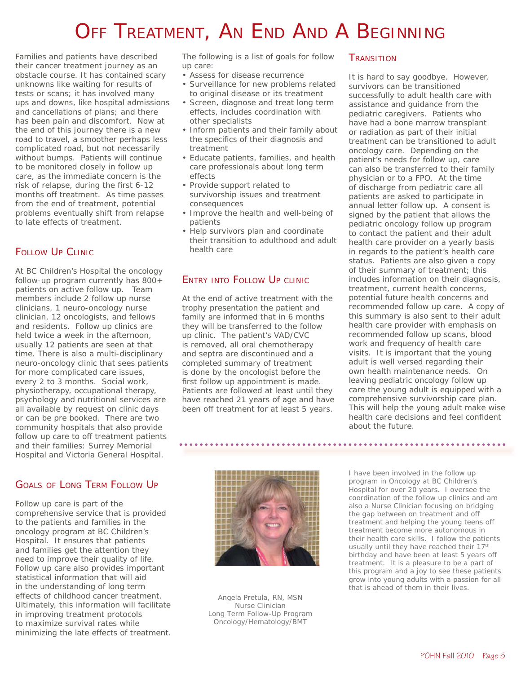# OFF TREATMENT, AN END AND A BEGINNING

Families and patients have described their cancer treatment journey as an obstacle course. It has contained scary unknowns like waiting for results of tests or scans; it has involved many ups and downs, like hospital admissions and cancellations of plans; and there has been pain and discomfort. Now at the end of this journey there is a new road to travel, a smoother perhaps less complicated road, but not necessarily without bumps. Patients will continue to be monitored closely in follow up care, as the immediate concern is the risk of relapse, during the first 6-12 months off treatment. As time passes from the end of treatment, potential problems eventually shift from relapse to late effects of treatment.

## FOLLOW UP CLINIC

At BC Children's Hospital the oncology follow-up program currently has 800+ patients on active follow up. Team members include 2 follow up nurse clinicians, 1 neuro-oncology nurse clinician, 12 oncologists, and fellows and residents. Follow up clinics are held twice a week in the afternoon, usually 12 patients are seen at that time. There is also a multi-disciplinary neuro-oncology clinic that sees patients for more complicated care issues, every 2 to 3 months. Social work, physiotherapy, occupational therapy, psychology and nutritional services are all available by request on clinic days or can be pre booked. There are two community hospitals that also provide follow up care to off treatment patients and their families: Surrey Memorial Hospital and Victoria General Hospital.

## GOALS OF LONG TERM FOLLOW UP

Follow up care is part of the comprehensive service that is provided to the patients and families in the oncology program at BC Children's Hospital. It ensures that patients and families get the attention they need to improve their quality of life. Follow up care also provides important statistical information that will aid in the understanding of long term effects of childhood cancer treatment. Ultimately, this information will facilitate in improving treatment protocols to maximize survival rates while minimizing the late effects of treatment. The following is a list of goals for follow up care:

- Assess for disease recurrence
- Surveillance for new problems related to original disease or its treatment
- Screen, diagnose and treat long term effects, includes coordination with other specialists
- Inform patients and their family about the specifics of their diagnosis and treatment
- Educate patients, families, and health care professionals about long term effects
- Provide support related to survivorship issues and treatment consequences
- Improve the health and well-being of patients
- Help survivors plan and coordinate their transition to adulthood and adult health care

## ENTRY INTO FOLLOW UP CLINIC

At the end of active treatment with the trophy presentation the patient and family are informed that in 6 months they will be transferred to the follow up clinic. The patient's VAD/CVC is removed, all oral chemotherapy and septra are discontinued and a completed summary of treatment is done by the oncologist before the first follow up appointment is made. Patients are followed at least until they have reached 21 years of age and have been off treatment for at least 5 years.

### **TRANSITION**

It is hard to say goodbye. However, survivors can be transitioned successfully to adult health care with assistance and guidance from the pediatric caregivers. Patients who have had a bone marrow transplant or radiation as part of their initial treatment can be transitioned to adult oncology care. Depending on the patient's needs for follow up, care can also be transferred to their family physician or to a FPO. At the time of discharge from pediatric care all patients are asked to participate in annual letter follow up. A consent is signed by the patient that allows the pediatric oncology follow up program to contact the patient and their adult health care provider on a yearly basis in regards to the patient's health care status. Patients are also given a copy of their summary of treatment; this includes information on their diagnosis, treatment, current health concerns, potential future health concerns and recommended follow up care. A copy of this summary is also sent to their adult health care provider with emphasis on recommended follow up scans, blood work and frequency of health care visits. It is important that the young adult is well versed regarding their own health maintenance needs. On leaving pediatric oncology follow up care the young adult is equipped with a comprehensive survivorship care plan. This will help the young adult make wise health care decisions and feel confident about the future.



*Angela Pretula, RN, MSN Nurse Clinician Long Term Follow-Up Program Oncology/Hematology/BMT*

*I have been involved in the follow up program in Oncology at BC Children's Hospital for over 20 years. I oversee the coordination of the follow up clinics and am also a Nurse Clinician focusing on bridging the gap between on treatment and off treatment and helping the young teens off treatment become more autonomous in their health care skills. I follow the patients usually until they have reached their 17th birthday and have been at least 5 years off treatment. It is a pleasure to be a part of this program and a joy to see these patients grow into young adults with a passion for all that is ahead of them in their lives.*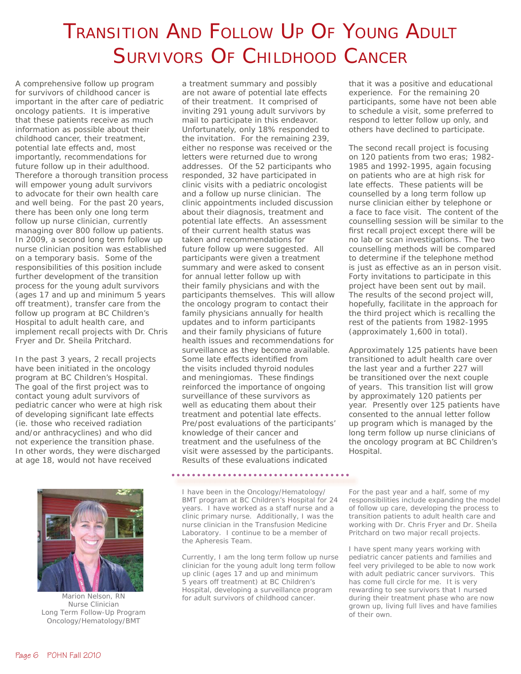# TRANSITION AND FOLLOW UP OF YOUNG ADULT SURVIVORS OF CHILDHOOD CANCER

A comprehensive follow up program for survivors of childhood cancer is important in the after care of pediatric oncology patients. It is imperative that these patients receive as much information as possible about their childhood cancer, their treatment, potential late effects and, most importantly, recommendations for future follow up in their adulthood. Therefore a thorough transition process will empower young adult survivors to advocate for their own health care and well being. For the past 20 years, there has been only one long term follow up nurse clinician, currently managing over 800 follow up patients. In 2009, a second long term follow up nurse clinician position was established on a temporary basis. Some of the responsibilities of this position include further development of the transition process for the young adult survivors (ages 17 and up and minimum 5 years off treatment), transfer care from the follow up program at BC Children's Hospital to adult health care, and implement recall projects with Dr. Chris Fryer and Dr. Sheila Pritchard.

In the past 3 years, 2 recall projects have been initiated in the oncology program at BC Children's Hospital. The goal of the first project was to contact young adult survivors of pediatric cancer who were at high risk of developing significant late effects (ie. those who received radiation and/or anthracyclines) and who did not experience the transition phase. In other words, they were discharged at age 18, would not have received



*Marion Nelson, RN Nurse Clinician Long Term Follow-Up Program Oncology/Hematology/BMT*

a treatment summary and possibly are not aware of potential late effects of their treatment. It comprised of inviting 291 young adult survivors by mail to participate in this endeavor. Unfortunately, only 18% responded to the invitation. For the remaining 239, either no response was received or the letters were returned due to wrong addresses. Of the 52 participants who responded, 32 have participated in clinic visits with a pediatric oncologist and a follow up nurse clinician. The clinic appointments included discussion about their diagnosis, treatment and potential late effects. An assessment of their current health status was taken and recommendations for future follow up were suggested. All participants were given a treatment summary and were asked to consent for annual letter follow up with their family physicians and with the participants themselves. This will allow the oncology program to contact their family physicians annually for health updates and to inform participants and their family physicians of future health issues and recommendations for surveillance as they become available. Some late effects identified from the visits included thyroid nodules and meningiomas. These findings reinforced the importance of ongoing surveillance of these survivors as well as educating them about their treatment and potential late effects. Pre/post evaluations of the participants' knowledge of their cancer and treatment and the usefulness of the visit were assessed by the participants. Results of these evaluations indicated

*I have been in the Oncology/Hematology/ BMT program at BC Children's Hospital for 24 years. I have worked as a staff nurse and a clinic primary nurse. Additionally, I was the nurse clinician in the Transfusion Medicine Laboratory. I continue to be a member of the Apheresis Team.* 

*Currently, I am the long term follow up nurse clinician for the young adult long term follow up clinic (ages 17 and up and minimum 5 years off treatment) at BC Children's Hospital, developing a surveillance program for adult survivors of childhood cancer.* 

that it was a positive and educational experience. For the remaining 20 participants, some have not been able to schedule a visit, some preferred to respond to letter follow up only, and others have declined to participate.

The second recall project is focusing on 120 patients from two eras; 1982- 1985 and 1992-1995, again focusing on patients who are at high risk for late effects. These patients will be counselled by a long term follow up nurse clinician either by telephone or a face to face visit. The content of the counselling session will be similar to the first recall project except there will be no lab or scan investigations. The two counselling methods will be compared to determine if the telephone method is just as effective as an in person visit. Forty invitations to participate in this project have been sent out by mail. The results of the second project will, hopefully, facilitate in the approach for the third project which is recalling the rest of the patients from 1982-1995 (approximately 1,600 in total).

Approximately 125 patients have been transitioned to adult health care over the last year and a further 227 will be transitioned over the next couple of years. This transition list will grow by approximately 120 patients per year. Presently over 125 patients have consented to the annual letter follow up program which is managed by the long term follow up nurse clinicians of the oncology program at BC Children's Hospital.

*For the past year and a half, some of my responsibilities include expanding the model of follow up care, developing the process to transition patients to adult health care and working with Dr. Chris Fryer and Dr. Sheila Pritchard on two major recall projects.* 

*I have spent many years working with pediatric cancer patients and families and feel very privileged to be able to now work with adult pediatric cancer survivors. This has come full circle for me. It is very rewarding to see survivors that I nursed during their treatment phase who are now grown up, living full lives and have families of their own.*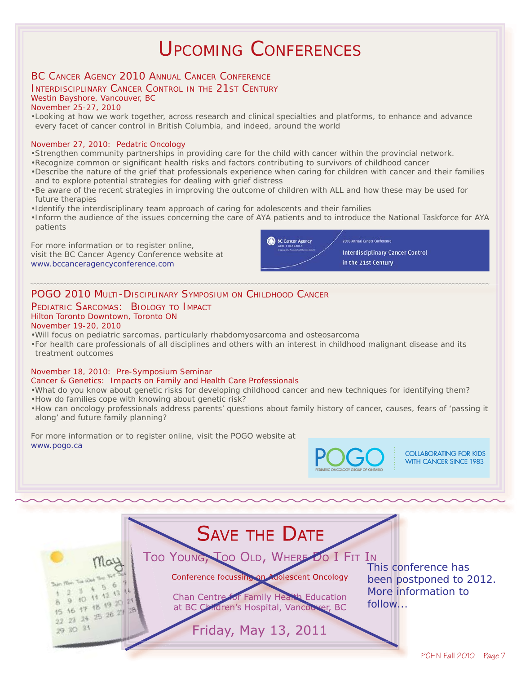## UPCOMING CONFERENCES

## BC CANCER AGENCY 2010 ANNUAL CANCER CONFERENCE

## INTERDISCIPLINARY CANCER CONTROL IN THE 21ST CENTURY

Westin Bayshore, Vancouver, BC

#### November 25-27, 2010

•Looking at how we work together, across research and clinical specialties and platforms, to enhance and advance every facet of cancer control in British Columbia, and indeed, around the world

#### November 27, 2010: Pedatric Oncology

- •Strengthen community partnerships in providing care for the child with cancer within the provincial network.
- •Recognize common or significant health risks and factors contributing to survivors of childhood cancer
- •Describe the nature of the grief that professionals experience when caring for children with cancer and their families and to explore potential strategies for dealing with grief distress
- •Be aware of the recent strategies in improving the outcome of children with ALL and how these may be used for future therapies
- •Identify the interdisciplinary team approach of caring for adolescents and their families
- •Inform the audience of the issues concerning the care of AYA patients and to introduce the National Taskforce for AYA patients

For more information or to register online, visit the BC Cancer Agency Conference website at www.bccanceragencyconference.com



## POGO 2010 MULTI-DISCIPLINARY SYMPOSIUM ON CHILDHOOD CANCER

## PEDIATRIC SARCOMAS: BIOLOGY TO IMPACT Hilton Toronto Downtown, Toronto ON

### November 19-20, 2010

- •Will focus on pediatric sarcomas, particularly rhabdomyosarcoma and osteosarcoma
- •For health care professionals of all disciplines and others with an interest in childhood malignant disease and its treatment outcomes

#### November 18, 2010: Pre-Symposium Seminar

#### Cancer & Genetics: Impacts on Family and Health Care Professionals

- •What do you know about genetic risks for developing childhood cancer and new techniques for identifying them?
- •How do families cope with knowing about genetic risk?
- •How can oncology professionals address parents' questions about family history of cancer, causes, fears of 'passing it along' and future family planning?

For more information or to register online, visit the POGO website at www.pogo.ca



**COLLABORATING FOR KIDS WITH CANCER SINCE 1983**